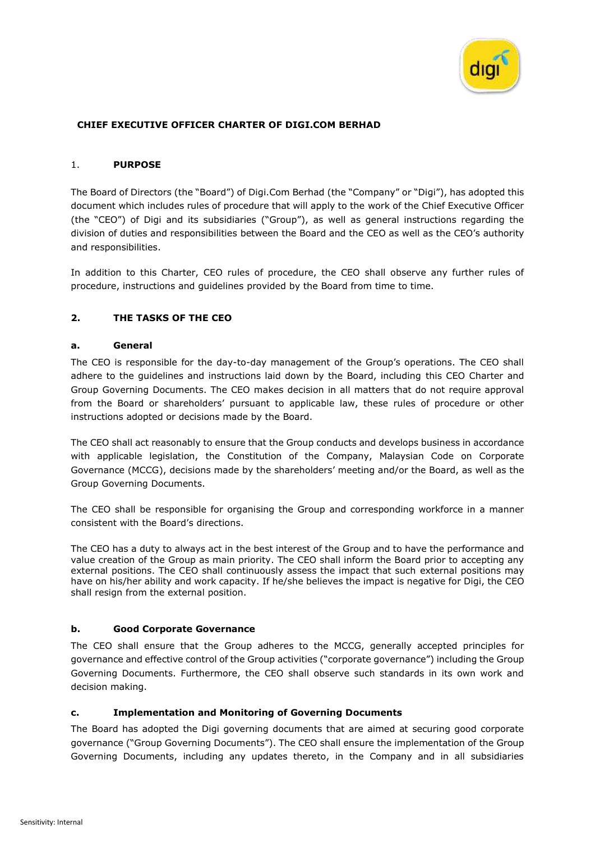

### **CHIEF EXECUTIVE OFFICER CHARTER OF DIGI.COM BERHAD**

#### 1. **PURPOSE**

The Board of Directors (the "Board") of Digi.Com Berhad (the "Company" or "Digi"), has adopted this document which includes rules of procedure that will apply to the work of the Chief Executive Officer (the "CEO") of Digi and its subsidiaries ("Group"), as well as general instructions regarding the division of duties and responsibilities between the Board and the CEO as well as the CEO's authority and responsibilities.

In addition to this Charter, CEO rules of procedure, the CEO shall observe any further rules of procedure, instructions and guidelines provided by the Board from time to time.

### **2. THE TASKS OF THE CEO**

#### **a. General**

The CEO is responsible for the day-to-day management of the Group's operations. The CEO shall adhere to the guidelines and instructions laid down by the Board, including this CEO Charter and Group Governing Documents. The CEO makes decision in all matters that do not require approval from the Board or shareholders' pursuant to applicable law, these rules of procedure or other instructions adopted or decisions made by the Board.

The CEO shall act reasonably to ensure that the Group conducts and develops business in accordance with applicable legislation, the Constitution of the Company, Malaysian Code on Corporate Governance (MCCG), decisions made by the shareholders' meeting and/or the Board, as well as the Group Governing Documents.

The CEO shall be responsible for organising the Group and corresponding workforce in a manner consistent with the Board's directions.

The CEO has a duty to always act in the best interest of the Group and to have the performance and value creation of the Group as main priority. The CEO shall inform the Board prior to accepting any external positions. The CEO shall continuously assess the impact that such external positions may have on his/her ability and work capacity. If he/she believes the impact is negative for Digi, the CEO shall resign from the external position.

#### **b. Good Corporate Governance**

The CEO shall ensure that the Group adheres to the MCCG, generally accepted principles for governance and effective control of the Group activities ("corporate governance") including the Group Governing Documents. Furthermore, the CEO shall observe such standards in its own work and decision making.

#### **c. Implementation and Monitoring of Governing Documents**

The Board has adopted the Digi governing documents that are aimed at securing good corporate governance ("Group Governing Documents"). The CEO shall ensure the implementation of the Group Governing Documents, including any updates thereto, in the Company and in all subsidiaries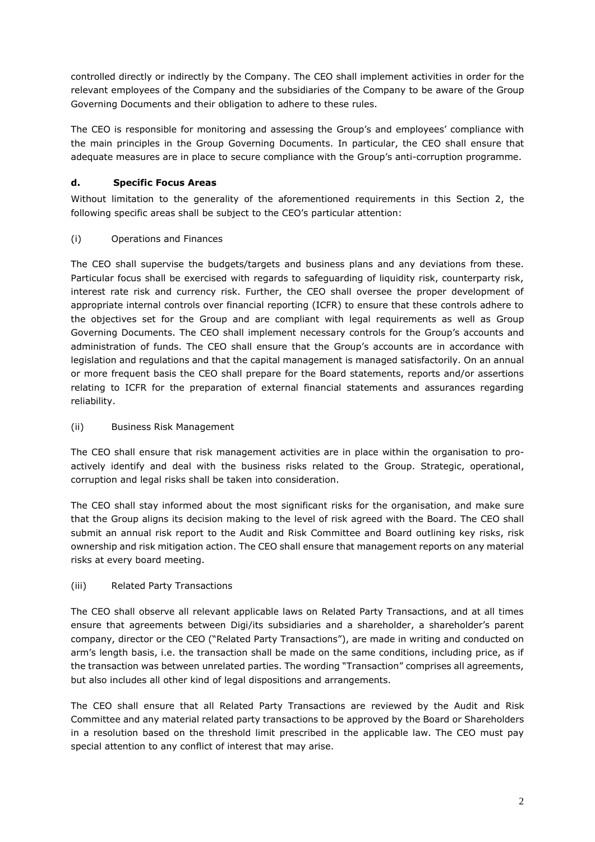controlled directly or indirectly by the Company. The CEO shall implement activities in order for the relevant employees of the Company and the subsidiaries of the Company to be aware of the Group Governing Documents and their obligation to adhere to these rules.

The CEO is responsible for monitoring and assessing the Group's and employees' compliance with the main principles in the Group Governing Documents. In particular, the CEO shall ensure that adequate measures are in place to secure compliance with the Group's anti-corruption programme.

# **d. Specific Focus Areas**

Without limitation to the generality of the aforementioned requirements in this Section 2, the following specific areas shall be subject to the CEO's particular attention:

# (i) Operations and Finances

The CEO shall supervise the budgets/targets and business plans and any deviations from these. Particular focus shall be exercised with regards to safeguarding of liquidity risk, counterparty risk, interest rate risk and currency risk. Further, the CEO shall oversee the proper development of appropriate internal controls over financial reporting (ICFR) to ensure that these controls adhere to the objectives set for the Group and are compliant with legal requirements as well as Group Governing Documents. The CEO shall implement necessary controls for the Group's accounts and administration of funds. The CEO shall ensure that the Group's accounts are in accordance with legislation and regulations and that the capital management is managed satisfactorily. On an annual or more frequent basis the CEO shall prepare for the Board statements, reports and/or assertions relating to ICFR for the preparation of external financial statements and assurances regarding reliability.

# (ii) Business Risk Management

The CEO shall ensure that risk management activities are in place within the organisation to proactively identify and deal with the business risks related to the Group. Strategic, operational, corruption and legal risks shall be taken into consideration.

The CEO shall stay informed about the most significant risks for the organisation, and make sure that the Group aligns its decision making to the level of risk agreed with the Board. The CEO shall submit an annual risk report to the Audit and Risk Committee and Board outlining key risks, risk ownership and risk mitigation action. The CEO shall ensure that management reports on any material risks at every board meeting.

# (iii) Related Party Transactions

The CEO shall observe all relevant applicable laws on Related Party Transactions, and at all times ensure that agreements between Digi/its subsidiaries and a shareholder, a shareholder's parent company, director or the CEO ("Related Party Transactions"), are made in writing and conducted on arm's length basis, i.e. the transaction shall be made on the same conditions, including price, as if the transaction was between unrelated parties. The wording "Transaction" comprises all agreements, but also includes all other kind of legal dispositions and arrangements.

The CEO shall ensure that all Related Party Transactions are reviewed by the Audit and Risk Committee and any material related party transactions to be approved by the Board or Shareholders in a resolution based on the threshold limit prescribed in the applicable law. The CEO must pay special attention to any conflict of interest that may arise.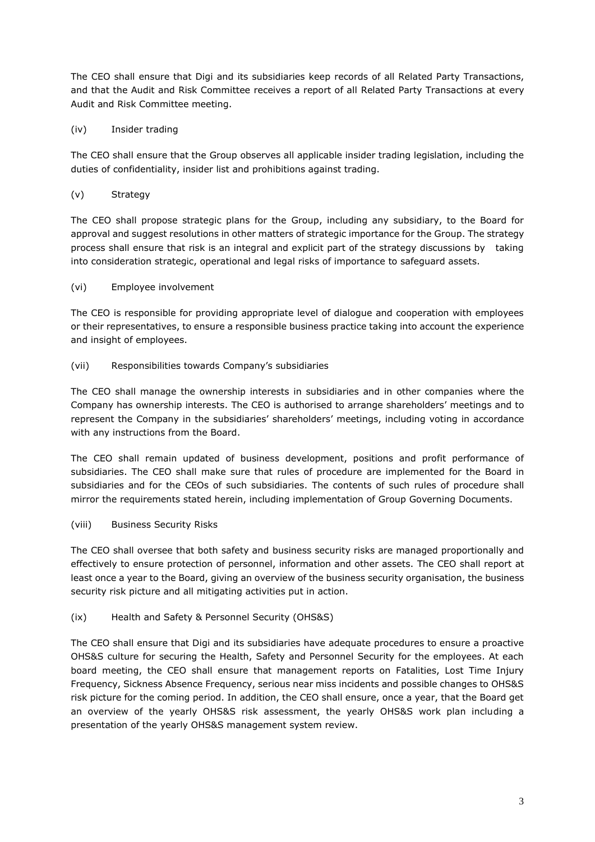The CEO shall ensure that Digi and its subsidiaries keep records of all Related Party Transactions, and that the Audit and Risk Committee receives a report of all Related Party Transactions at every Audit and Risk Committee meeting.

# (iv) Insider trading

The CEO shall ensure that the Group observes all applicable insider trading legislation, including the duties of confidentiality, insider list and prohibitions against trading.

## (v) Strategy

The CEO shall propose strategic plans for the Group, including any subsidiary, to the Board for approval and suggest resolutions in other matters of strategic importance for the Group. The strategy process shall ensure that risk is an integral and explicit part of the strategy discussions by taking into consideration strategic, operational and legal risks of importance to safeguard assets.

## (vi) Employee involvement

The CEO is responsible for providing appropriate level of dialogue and cooperation with employees or their representatives, to ensure a responsible business practice taking into account the experience and insight of employees.

## (vii) Responsibilities towards Company's subsidiaries

The CEO shall manage the ownership interests in subsidiaries and in other companies where the Company has ownership interests. The CEO is authorised to arrange shareholders' meetings and to represent the Company in the subsidiaries' shareholders' meetings, including voting in accordance with any instructions from the Board.

The CEO shall remain updated of business development, positions and profit performance of subsidiaries. The CEO shall make sure that rules of procedure are implemented for the Board in subsidiaries and for the CEOs of such subsidiaries. The contents of such rules of procedure shall mirror the requirements stated herein, including implementation of Group Governing Documents.

# (viii) Business Security Risks

The CEO shall oversee that both safety and business security risks are managed proportionally and effectively to ensure protection of personnel, information and other assets. The CEO shall report at least once a year to the Board, giving an overview of the business security organisation, the business security risk picture and all mitigating activities put in action.

### (ix) Health and Safety & Personnel Security (OHS&S)

The CEO shall ensure that Digi and its subsidiaries have adequate procedures to ensure a proactive OHS&S culture for securing the Health, Safety and Personnel Security for the employees. At each board meeting, the CEO shall ensure that management reports on Fatalities, Lost Time Injury Frequency, Sickness Absence Frequency, serious near miss incidents and possible changes to OHS&S risk picture for the coming period. In addition, the CEO shall ensure, once a year, that the Board get an overview of the yearly OHS&S risk assessment, the yearly OHS&S work plan including a presentation of the yearly OHS&S management system review.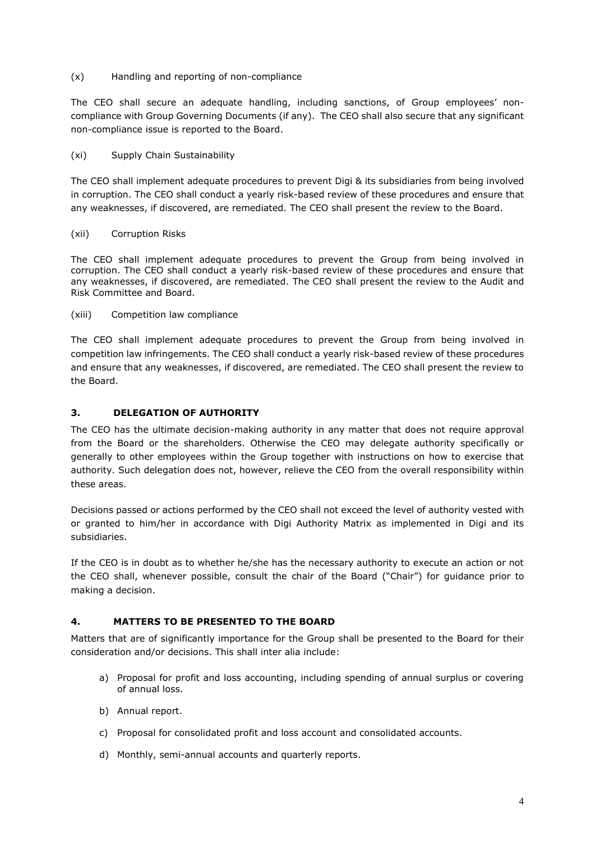(x) Handling and reporting of non-compliance

The CEO shall secure an adequate handling, including sanctions, of Group employees' noncompliance with Group Governing Documents (if any). The CEO shall also secure that any significant non-compliance issue is reported to the Board.

### (xi) Supply Chain Sustainability

The CEO shall implement adequate procedures to prevent Digi & its subsidiaries from being involved in corruption. The CEO shall conduct a yearly risk-based review of these procedures and ensure that any weaknesses, if discovered, are remediated. The CEO shall present the review to the Board.

#### (xii) Corruption Risks

The CEO shall implement adequate procedures to prevent the Group from being involved in corruption. The CEO shall conduct a yearly risk-based review of these procedures and ensure that any weaknesses, if discovered, are remediated. The CEO shall present the review to the Audit and Risk Committee and Board.

(xiii) Competition law compliance

The CEO shall implement adequate procedures to prevent the Group from being involved in competition law infringements. The CEO shall conduct a yearly risk-based review of these procedures and ensure that any weaknesses, if discovered, are remediated. The CEO shall present the review to the Board.

### **3. DELEGATION OF AUTHORITY**

The CEO has the ultimate decision-making authority in any matter that does not require approval from the Board or the shareholders. Otherwise the CEO may delegate authority specifically or generally to other employees within the Group together with instructions on how to exercise that authority. Such delegation does not, however, relieve the CEO from the overall responsibility within these areas.

Decisions passed or actions performed by the CEO shall not exceed the level of authority vested with or granted to him/her in accordance with Digi Authority Matrix as implemented in Digi and its subsidiaries.

If the CEO is in doubt as to whether he/she has the necessary authority to execute an action or not the CEO shall, whenever possible, consult the chair of the Board ("Chair") for guidance prior to making a decision.

### **4. MATTERS TO BE PRESENTED TO THE BOARD**

Matters that are of significantly importance for the Group shall be presented to the Board for their consideration and/or decisions. This shall inter alia include:

- a) Proposal for profit and loss accounting, including spending of annual surplus or covering of annual loss.
- b) Annual report.
- c) Proposal for consolidated profit and loss account and consolidated accounts.
- d) Monthly, semi-annual accounts and quarterly reports.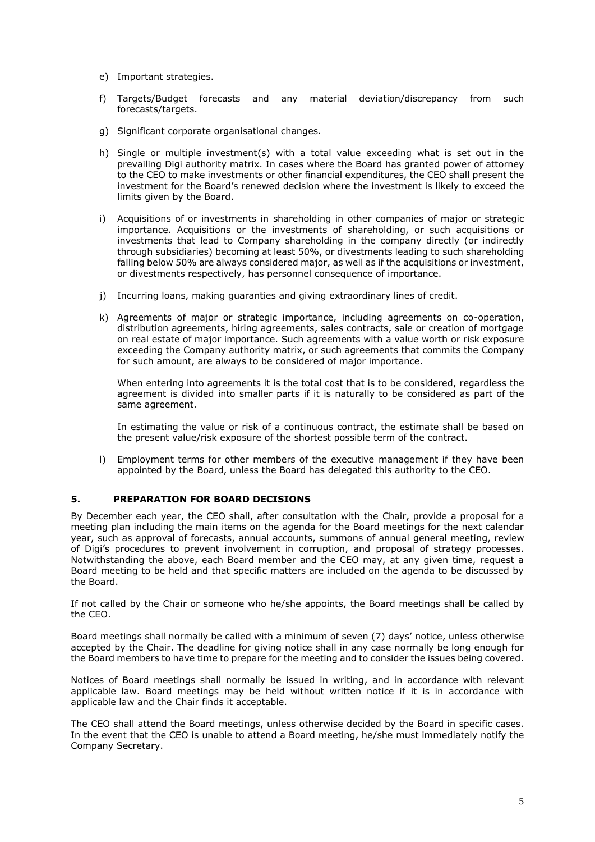- e) Important strategies.
- f) Targets/Budget forecasts and any material deviation/discrepancy from such forecasts/targets.
- g) Significant corporate organisational changes.
- h) Single or multiple investment(s) with a total value exceeding what is set out in the prevailing Digi authority matrix. In cases where the Board has granted power of attorney to the CEO to make investments or other financial expenditures, the CEO shall present the investment for the Board's renewed decision where the investment is likely to exceed the limits given by the Board.
- i) Acquisitions of or investments in shareholding in other companies of major or strategic importance. Acquisitions or the investments of shareholding, or such acquisitions or investments that lead to Company shareholding in the company directly (or indirectly through subsidiaries) becoming at least 50%, or divestments leading to such shareholding falling below 50% are always considered major, as well as if the acquisitions or investment, or divestments respectively, has personnel consequence of importance.
- j) Incurring loans, making guaranties and giving extraordinary lines of credit.
- k) Agreements of major or strategic importance, including agreements on co-operation, distribution agreements, hiring agreements, sales contracts, sale or creation of mortgage on real estate of major importance. Such agreements with a value worth or risk exposure exceeding the Company authority matrix, or such agreements that commits the Company for such amount, are always to be considered of major importance.

When entering into agreements it is the total cost that is to be considered, regardless the agreement is divided into smaller parts if it is naturally to be considered as part of the same agreement.

In estimating the value or risk of a continuous contract, the estimate shall be based on the present value/risk exposure of the shortest possible term of the contract.

l) Employment terms for other members of the executive management if they have been appointed by the Board, unless the Board has delegated this authority to the CEO.

### **5. PREPARATION FOR BOARD DECISIONS**

By December each year, the CEO shall, after consultation with the Chair, provide a proposal for a meeting plan including the main items on the agenda for the Board meetings for the next calendar year, such as approval of forecasts, annual accounts, summons of annual general meeting, review of Digi's procedures to prevent involvement in corruption, and proposal of strategy processes. Notwithstanding the above, each Board member and the CEO may, at any given time, request a Board meeting to be held and that specific matters are included on the agenda to be discussed by the Board.

If not called by the Chair or someone who he/she appoints, the Board meetings shall be called by the CEO.

Board meetings shall normally be called with a minimum of seven (7) days' notice, unless otherwise accepted by the Chair. The deadline for giving notice shall in any case normally be long enough for the Board members to have time to prepare for the meeting and to consider the issues being covered.

Notices of Board meetings shall normally be issued in writing, and in accordance with relevant applicable law. Board meetings may be held without written notice if it is in accordance with applicable law and the Chair finds it acceptable.

The CEO shall attend the Board meetings, unless otherwise decided by the Board in specific cases. In the event that the CEO is unable to attend a Board meeting, he/she must immediately notify the Company Secretary.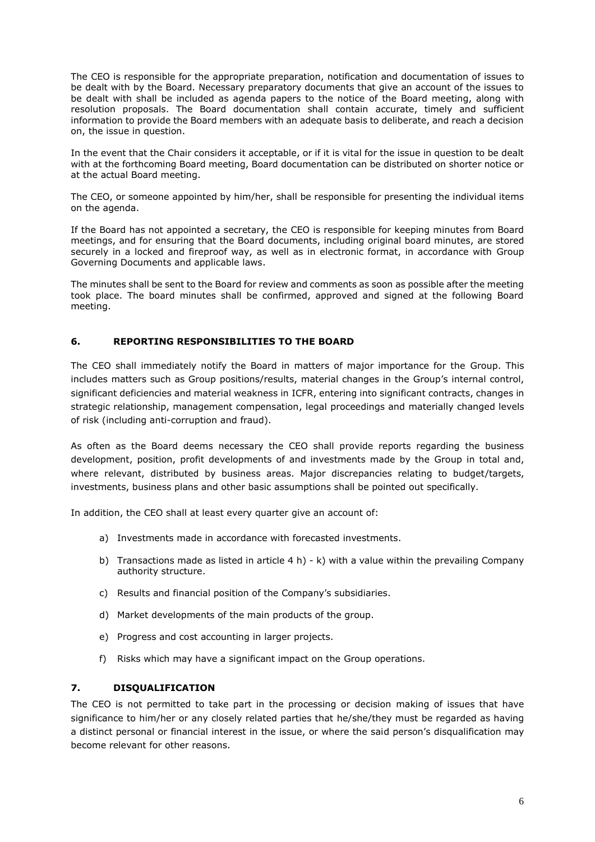The CEO is responsible for the appropriate preparation, notification and documentation of issues to be dealt with by the Board. Necessary preparatory documents that give an account of the issues to be dealt with shall be included as agenda papers to the notice of the Board meeting, along with resolution proposals. The Board documentation shall contain accurate, timely and sufficient information to provide the Board members with an adequate basis to deliberate, and reach a decision on, the issue in question.

In the event that the Chair considers it acceptable, or if it is vital for the issue in question to be dealt with at the forthcoming Board meeting, Board documentation can be distributed on shorter notice or at the actual Board meeting.

The CEO, or someone appointed by him/her, shall be responsible for presenting the individual items on the agenda.

If the Board has not appointed a secretary, the CEO is responsible for keeping minutes from Board meetings, and for ensuring that the Board documents, including original board minutes, are stored securely in a locked and fireproof way, as well as in electronic format, in accordance with Group Governing Documents and applicable laws.

The minutes shall be sent to the Board for review and comments as soon as possible after the meeting took place. The board minutes shall be confirmed, approved and signed at the following Board meeting.

## **6. REPORTING RESPONSIBILITIES TO THE BOARD**

The CEO shall immediately notify the Board in matters of major importance for the Group. This includes matters such as Group positions/results, material changes in the Group's internal control, significant deficiencies and material weakness in ICFR, entering into significant contracts, changes in strategic relationship, management compensation, legal proceedings and materially changed levels of risk (including anti-corruption and fraud).

As often as the Board deems necessary the CEO shall provide reports regarding the business development, position, profit developments of and investments made by the Group in total and, where relevant, distributed by business areas. Major discrepancies relating to budget/targets, investments, business plans and other basic assumptions shall be pointed out specifically.

In addition, the CEO shall at least every quarter give an account of:

- a) Investments made in accordance with forecasted investments.
- b) Transactions made as listed in article  $4 h$ ) k) with a value within the prevailing Company authority structure.
- c) Results and financial position of the Company's subsidiaries.
- d) Market developments of the main products of the group.
- e) Progress and cost accounting in larger projects.
- f) Risks which may have a significant impact on the Group operations.

### **7. DISQUALIFICATION**

The CEO is not permitted to take part in the processing or decision making of issues that have significance to him/her or any closely related parties that he/she/they must be regarded as having a distinct personal or financial interest in the issue, or where the said person's disqualification may become relevant for other reasons.